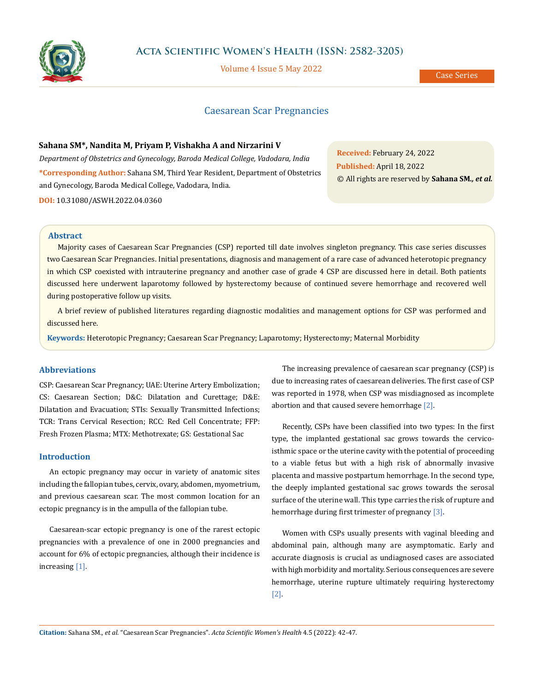

# **Acta Scientific Women's Health (ISSN: 2582-3205)**

Volume 4 Issue 5 May 2022

Case Series

# Caesarean Scar Pregnancies

### **Sahana SM\*, Nandita M, Priyam P, Vishakha A and Nirzarini V**

*Department of Obstetrics and Gynecology, Baroda Medical College, Vadodara, India* **\*Corresponding Author:** Sahana SM, Third Year Resident, Department of Obstetrics and Gynecology, Baroda Medical College, Vadodara, India.

**DOI:** [10.31080/ASWH.2022.04.036](http://actascientific.com/ASWH/pdf/ASWH-04-0360.pdf)0

**Received:** February 24, 2022 **Published:** April 18, 2022 © All rights are reserved by **Sahana SM***., et al.*

## **Abstract**

Majority cases of Caesarean Scar Pregnancies (CSP) reported till date involves singleton pregnancy. This case series discusses two Caesarean Scar Pregnancies. Initial presentations, diagnosis and management of a rare case of advanced heterotopic pregnancy in which CSP coexisted with intrauterine pregnancy and another case of grade 4 CSP are discussed here in detail. Both patients discussed here underwent laparotomy followed by hysterectomy because of continued severe hemorrhage and recovered well during postoperative follow up visits.

A brief review of published literatures regarding diagnostic modalities and management options for CSP was performed and discussed here.

**Keywords:** Heterotopic Pregnancy; Caesarean Scar Pregnancy; Laparotomy; Hysterectomy; Maternal Morbidity

## **Abbreviations**

CSP: Caesarean Scar Pregnancy; UAE: Uterine Artery Embolization; CS: Caesarean Section; D&C: Dilatation and Curettage; D&E: Dilatation and Evacuation; STIs: Sexually Transmitted Infections; TCR: Trans Cervical Resection; RCC: Red Cell Concentrate; FFP: Fresh Frozen Plasma; MTX: Methotrexate; GS: Gestational Sac

## **Introduction**

An ectopic pregnancy may occur in variety of anatomic sites including the fallopian tubes, cervix, ovary, abdomen, myometrium, and previous caesarean scar. The most common location for an ectopic pregnancy is in the ampulla of the fallopian tube.

Caesarean-scar ectopic pregnancy is one of the rarest ectopic pregnancies with a prevalence of one in 2000 pregnancies and account for 6% of ectopic pregnancies, although their incidence is increasing [1].

The increasing prevalence of caesarean scar pregnancy (CSP) is due to increasing rates of caesarean deliveries. The first case of CSP was reported in 1978, when CSP was misdiagnosed as incomplete abortion and that caused severe hemorrhage [2].

Recently, CSPs have been classified into two types: In the first type, the implanted gestational sac grows towards the cervicoisthmic space or the uterine cavity with the potential of proceeding to a viable fetus but with a high risk of abnormally invasive placenta and massive postpartum hemorrhage. In the second type, the deeply implanted gestational sac grows towards the serosal surface of the uterine wall. This type carries the risk of rupture and hemorrhage during first trimester of pregnancy [3].

Women with CSPs usually presents with vaginal bleeding and abdominal pain, although many are asymptomatic. Early and accurate diagnosis is crucial as undiagnosed cases are associated with high morbidity and mortality. Serious consequences are severe hemorrhage, uterine rupture ultimately requiring hysterectomy [2].

**Citation:** Sahana SM*., et al.* "Caesarean Scar Pregnancies". *Acta Scientific Women's Health* 4.5 (2022): 42-47.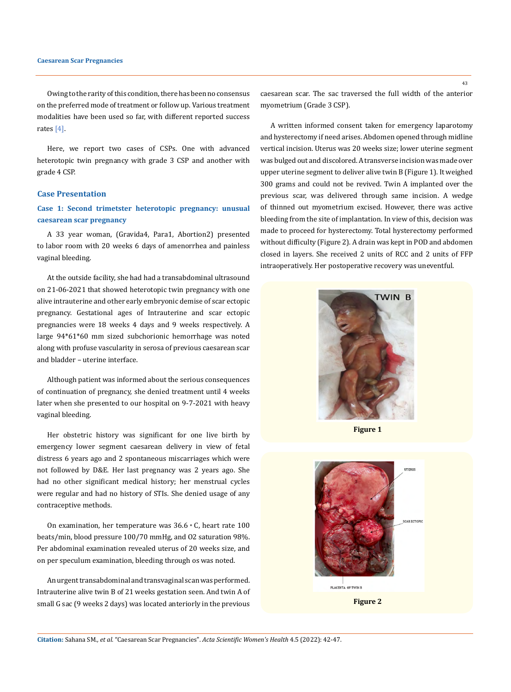Owing to the rarity of this condition, there has been no consensus on the preferred mode of treatment or follow up. Various treatment modalities have been used so far, with different reported success rates [4].

Here, we report two cases of CSPs. One with advanced heterotopic twin pregnancy with grade 3 CSP and another with grade 4 CSP.

## **Case Presentation**

## **Case 1: Second trimetster heterotopic pregnancy: unusual caesarean scar pregnancy**

A 33 year woman, (Gravida4, Para1, Abortion2) presented to labor room with 20 weeks 6 days of amenorrhea and painless vaginal bleeding.

At the outside facility, she had had a transabdominal ultrasound on 21-06-2021 that showed heterotopic twin pregnancy with one alive intrauterine and other early embryonic demise of scar ectopic pregnancy. Gestational ages of Intrauterine and scar ectopic pregnancies were 18 weeks 4 days and 9 weeks respectively. A large 94\*61\*60 mm sized subchorionic hemorrhage was noted along with profuse vascularity in serosa of previous caesarean scar and bladder – uterine interface.

Although patient was informed about the serious consequences of continuation of pregnancy, she denied treatment until 4 weeks later when she presented to our hospital on 9-7-2021 with heavy vaginal bleeding.

Her obstetric history was significant for one live birth by emergency lower segment caesarean delivery in view of fetal distress 6 years ago and 2 spontaneous miscarriages which were not followed by D&E. Her last pregnancy was 2 years ago. She had no other significant medical history; her menstrual cycles were regular and had no history of STIs. She denied usage of any contraceptive methods.

On examination, her temperature was 36.6◦C, heart rate 100 beats/min, blood pressure 100/70 mmHg, and O2 saturation 98%. Per abdominal examination revealed uterus of 20 weeks size, and on per speculum examination, bleeding through os was noted.

An urgent transabdominal and transvaginal scan was performed. Intrauterine alive twin B of 21 weeks gestation seen. And twin A of small G sac (9 weeks 2 days) was located anteriorly in the previous

caesarean scar. The sac traversed the full width of the anterior myometrium (Grade 3 CSP).

A written informed consent taken for emergency laparotomy and hysterectomy if need arises. Abdomen opened through midline vertical incision. Uterus was 20 weeks size; lower uterine segment was bulged out and discolored. A transverse incision was made over upper uterine segment to deliver alive twin B (Figure 1). It weighed 300 grams and could not be revived. Twin A implanted over the previous scar, was delivered through same incision. A wedge of thinned out myometrium excised. However, there was active bleeding from the site of implantation. In view of this, decision was made to proceed for hysterectomy. Total hysterectomy performed without difficulty (Figure 2). A drain was kept in POD and abdomen closed in layers. She received 2 units of RCC and 2 units of FFP intraoperatively. Her postoperative recovery was uneventful.



**Figure 1**



**Figure 2**

**Citation:** Sahana SM*., et al.* "Caesarean Scar Pregnancies". *Acta Scientific Women's Health* 4.5 (2022): 42-47.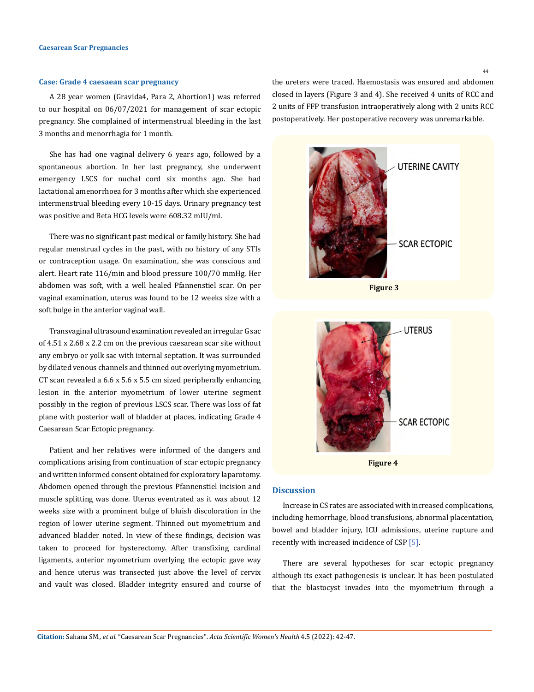#### **Case: Grade 4 caesaean scar pregnancy**

A 28 year women (Gravida4, Para 2, Abortion1) was referred to our hospital on 06/07/2021 for management of scar ectopic pregnancy. She complained of intermenstrual bleeding in the last 3 months and menorrhagia for 1 month.

She has had one vaginal delivery 6 years ago, followed by a spontaneous abortion. In her last pregnancy, she underwent emergency LSCS for nuchal cord six months ago. She had lactational amenorrhoea for 3 months after which she experienced intermenstrual bleeding every 10-15 days. Urinary pregnancy test was positive and Beta HCG levels were 608.32 mIU/ml.

There was no significant past medical or family history. She had regular menstrual cycles in the past, with no history of any STIs or contraception usage. On examination, she was conscious and alert. Heart rate 116/min and blood pressure 100/70 mmHg. Her abdomen was soft, with a well healed Pfannenstiel scar. On per vaginal examination, uterus was found to be 12 weeks size with a soft bulge in the anterior vaginal wall.

Transvaginal ultrasound examination revealed an irregular G sac of 4.51 x 2.68 x 2.2 cm on the previous caesarean scar site without any embryo or yolk sac with internal septation. It was surrounded by dilated venous channels and thinned out overlying myometrium. CT scan revealed a 6.6 x 5.6 x 5.5 cm sized peripherally enhancing lesion in the anterior myometrium of lower uterine segment possibly in the region of previous LSCS scar. There was loss of fat plane with posterior wall of bladder at places, indicating Grade 4 Caesarean Scar Ectopic pregnancy.

Patient and her relatives were informed of the dangers and complications arising from continuation of scar ectopic pregnancy and written informed consent obtained for exploratory laparotomy. Abdomen opened through the previous Pfannenstiel incision and muscle splitting was done. Uterus eventrated as it was about 12 weeks size with a prominent bulge of bluish discoloration in the region of lower uterine segment. Thinned out myometrium and advanced bladder noted. In view of these findings, decision was taken to proceed for hysterectomy. After transfixing cardinal ligaments, anterior myometrium overlying the ectopic gave way and hence uterus was transected just above the level of cervix and vault was closed. Bladder integrity ensured and course of the ureters were traced. Haemostasis was ensured and abdomen closed in layers (Figure 3 and 4). She received 4 units of RCC and 2 units of FFP transfusion intraoperatively along with 2 units RCC postoperatively. Her postoperative recovery was unremarkable.





### **Discussion**

Increase in CS rates are associated with increased complications, including hemorrhage, blood transfusions, abnormal placentation, bowel and bladder injury, ICU admissions, uterine rupture and recently with increased incidence of CSP [5].

There are several hypotheses for scar ectopic pregnancy although its exact pathogenesis is unclear. It has been postulated that the blastocyst invades into the myometrium through a

**Citation:** Sahana SM*., et al.* "Caesarean Scar Pregnancies". *Acta Scientific Women's Health* 4.5 (2022): 42-47.

44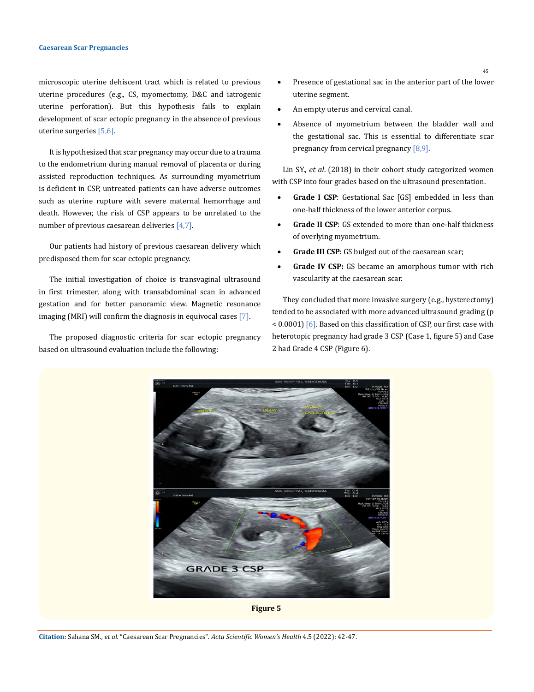microscopic uterine dehiscent tract which is related to previous uterine procedures (e.g., CS, myomectomy, D&C and iatrogenic uterine perforation). But this hypothesis fails to explain development of scar ectopic pregnancy in the absence of previous uterine surgeries [5,6].

It is hypothesized that scar pregnancy may occur due to a trauma to the endometrium during manual removal of placenta or during assisted reproduction techniques. As surrounding myometrium is deficient in CSP, untreated patients can have adverse outcomes such as uterine rupture with severe maternal hemorrhage and death. However, the risk of CSP appears to be unrelated to the number of previous caesarean deliveries  $[4,7]$ .

Our patients had history of previous caesarean delivery which predisposed them for scar ectopic pregnancy.

The initial investigation of choice is transvaginal ultrasound in first trimester, along with transabdominal scan in advanced gestation and for better panoramic view. Magnetic resonance imaging (MRI) will confirm the diagnosis in equivocal cases [7].

The proposed diagnostic criteria for scar ectopic pregnancy based on ultrasound evaluation include the following:

- Presence of gestational sac in the anterior part of the lower uterine segment.
- An empty uterus and cervical canal.
- Absence of myometrium between the bladder wall and the gestational sac. This is essential to differentiate scar pregnancy from cervical pregnancy [8,9].

Lin SY., *et al*. (2018) in their cohort study categorized women with CSP into four grades based on the ultrasound presentation.

- **Grade I CSP**: Gestational Sac [GS] embedded in less than one-half thickness of the lower anterior corpus.
- **Grade II CSP:** GS extended to more than one-half thickness of overlying myometrium.
- **Grade III CSP**: GS bulged out of the caesarean scar;
- • **Grade IV CSP:** GS became an amorphous tumor with rich vascularity at the caesarean scar.

They concluded that more invasive surgery (e.g., hysterectomy) tended to be associated with more advanced ultrasound grading (p < 0.0001) [6]. Based on this classification of CSP, our first case with heterotopic pregnancy had grade 3 CSP (Case 1, figure 5) and Case 2 had Grade 4 CSP (Figure 6).



**Citation:** Sahana SM*., et al.* "Caesarean Scar Pregnancies". *Acta Scientific Women's Health* 4.5 (2022): 42-47.

45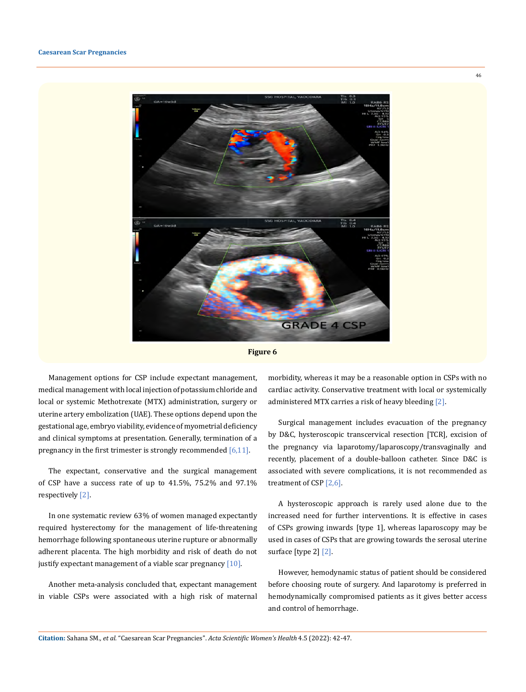



Management options for CSP include expectant management, medical management with local injection of potassium chloride and local or systemic Methotrexate (MTX) administration, surgery or uterine artery embolization (UAE). These options depend upon the gestational age, embryo viability, evidence of myometrial deficiency and clinical symptoms at presentation. Generally, termination of a pregnancy in the first trimester is strongly recommended  $[6,11]$ .

The expectant, conservative and the surgical management of CSP have a success rate of up to 41.5%, 75.2% and 97.1% respectively [2].

In one systematic review 63% of women managed expectantly required hysterectomy for the management of life-threatening hemorrhage following spontaneous uterine rupture or abnormally adherent placenta. The high morbidity and risk of death do not justify expectant management of a viable scar pregnancy  $[10]$ .

Another meta-analysis concluded that, expectant management in viable CSPs were associated with a high risk of maternal morbidity, whereas it may be a reasonable option in CSPs with no cardiac activity. Conservative treatment with local or systemically administered MTX carries a risk of heavy bleeding [2].

Surgical management includes evacuation of the pregnancy by D&C, hysteroscopic transcervical resection [TCR], excision of the pregnancy via laparotomy/laparoscopy/transvaginally and recently, placement of a double-balloon catheter. Since D&C is associated with severe complications, it is not recommended as treatment of CSP [2,6].

A hysteroscopic approach is rarely used alone due to the increased need for further interventions. It is effective in cases of CSPs growing inwards [type 1], whereas laparoscopy may be used in cases of CSPs that are growing towards the serosal uterine surface [type 2] [2].

However, hemodynamic status of patient should be considered before choosing route of surgery. And laparotomy is preferred in hemodynamically compromised patients as it gives better access and control of hemorrhage.

**Citation:** Sahana SM*., et al.* "Caesarean Scar Pregnancies". *Acta Scientific Women's Health* 4.5 (2022): 42-47.

46